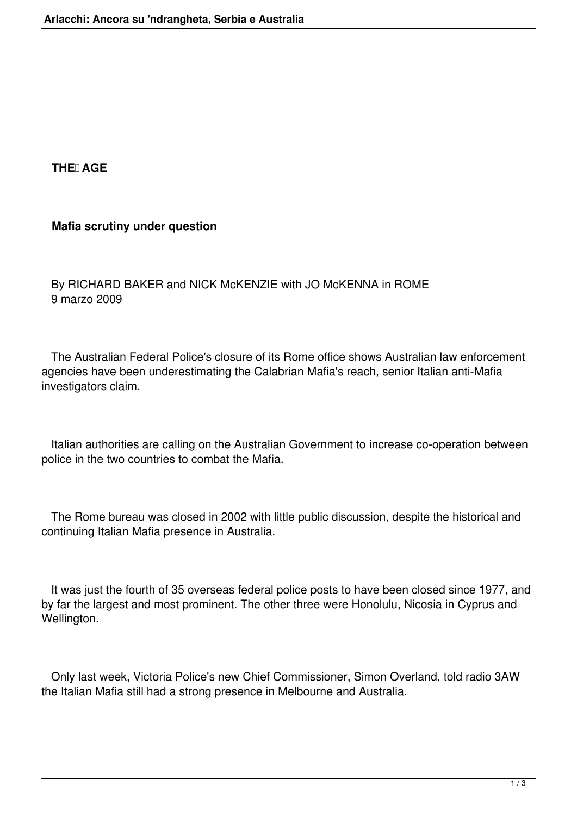## **THE AGE**

## **Mafia scrutiny under question**

 By RICHARD BAKER and NICK McKENZIE with JO McKENNA in ROME 9 marzo 2009

 The Australian Federal Police's closure of its Rome office shows Australian law enforcement agencies have been underestimating the Calabrian Mafia's reach, senior Italian anti-Mafia investigators claim.

 Italian authorities are calling on the Australian Government to increase co-operation between police in the two countries to combat the Mafia.

 The Rome bureau was closed in 2002 with little public discussion, despite the historical and continuing Italian Mafia presence in Australia.

 It was just the fourth of 35 overseas federal police posts to have been closed since 1977, and by far the largest and most prominent. The other three were Honolulu, Nicosia in Cyprus and Wellington.

 Only last week, Victoria Police's new Chief Commissioner, Simon Overland, told radio 3AW the Italian Mafia still had a strong presence in Melbourne and Australia.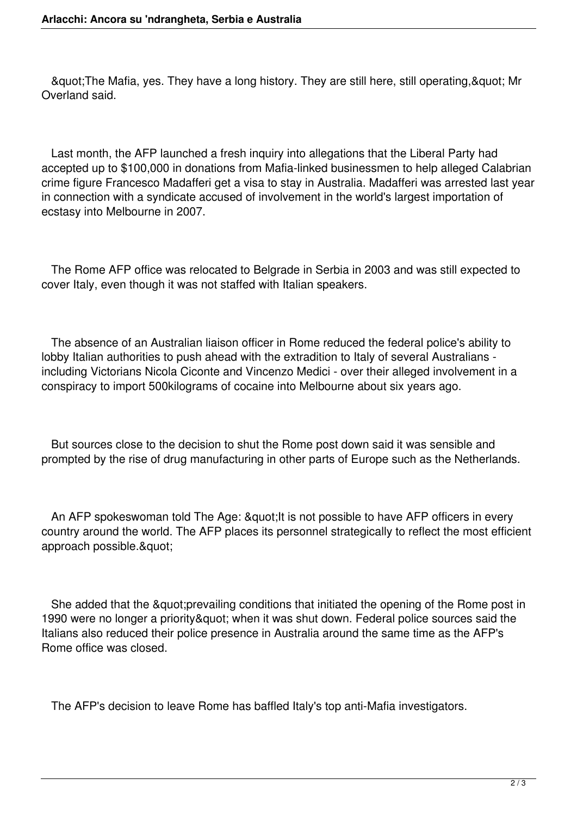& guot; The Mafia, yes. They have a long history. They are still here, still operating, & quot; Mr Overland said.

 Last month, the AFP launched a fresh inquiry into allegations that the Liberal Party had accepted up to \$100,000 in donations from Mafia-linked businessmen to help alleged Calabrian crime figure Francesco Madafferi get a visa to stay in Australia. Madafferi was arrested last year in connection with a syndicate accused of involvement in the world's largest importation of ecstasy into Melbourne in 2007.

 The Rome AFP office was relocated to Belgrade in Serbia in 2003 and was still expected to cover Italy, even though it was not staffed with Italian speakers.

 The absence of an Australian liaison officer in Rome reduced the federal police's ability to lobby Italian authorities to push ahead with the extradition to Italy of several Australians including Victorians Nicola Ciconte and Vincenzo Medici - over their alleged involvement in a conspiracy to import 500kilograms of cocaine into Melbourne about six years ago.

 But sources close to the decision to shut the Rome post down said it was sensible and prompted by the rise of drug manufacturing in other parts of Europe such as the Netherlands.

An AFP spokeswoman told The Age: " It is not possible to have AFP officers in every country around the world. The AFP places its personnel strategically to reflect the most efficient approach possible.&quot:

She added that the "prevailing conditions that initiated the opening of the Rome post in 1990 were no longer a priority" when it was shut down. Federal police sources said the Italians also reduced their police presence in Australia around the same time as the AFP's Rome office was closed.

The AFP's decision to leave Rome has baffled Italy's top anti-Mafia investigators.